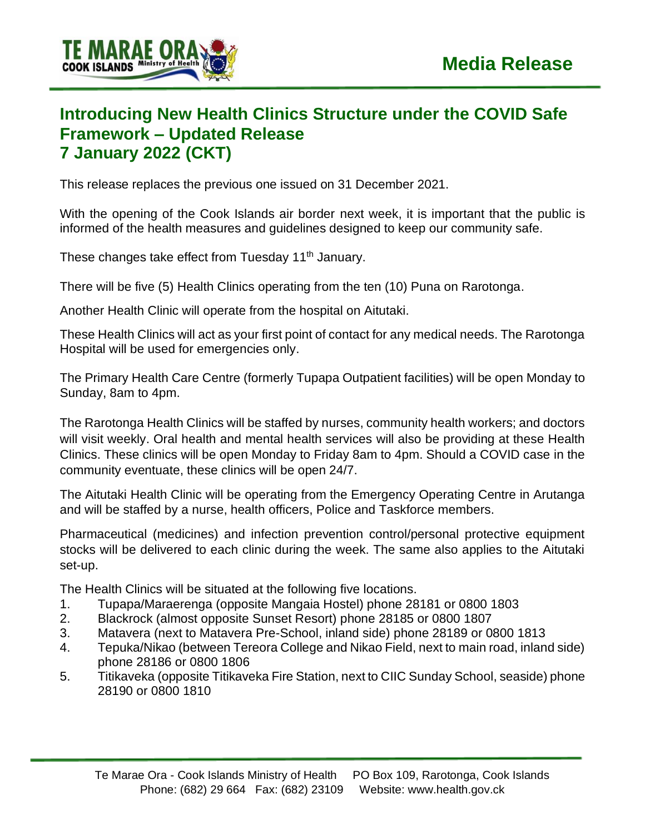

## **Introducing New Health Clinics Structure under the COVID Safe Framework – Updated Release 7 January 2022 (CKT)**

This release replaces the previous one issued on 31 December 2021.

With the opening of the Cook Islands air border next week, it is important that the public is informed of the health measures and guidelines designed to keep our community safe.

These changes take effect from Tuesday 11<sup>th</sup> January.

There will be five (5) Health Clinics operating from the ten (10) Puna on Rarotonga.

Another Health Clinic will operate from the hospital on Aitutaki.

These Health Clinics will act as your first point of contact for any medical needs. The Rarotonga Hospital will be used for emergencies only.

The Primary Health Care Centre (formerly Tupapa Outpatient facilities) will be open Monday to Sunday, 8am to 4pm.

The Rarotonga Health Clinics will be staffed by nurses, community health workers; and doctors will visit weekly. Oral health and mental health services will also be providing at these Health Clinics. These clinics will be open Monday to Friday 8am to 4pm. Should a COVID case in the community eventuate, these clinics will be open 24/7.

The Aitutaki Health Clinic will be operating from the Emergency Operating Centre in Arutanga and will be staffed by a nurse, health officers, Police and Taskforce members.

Pharmaceutical (medicines) and infection prevention control/personal protective equipment stocks will be delivered to each clinic during the week. The same also applies to the Aitutaki set-up.

The Health Clinics will be situated at the following five locations.

- 1. Tupapa/Maraerenga (opposite Mangaia Hostel) phone 28181 or 0800 1803
- 2. Blackrock (almost opposite Sunset Resort) phone 28185 or 0800 1807
- 3. Matavera (next to Matavera Pre-School, inland side) phone 28189 or 0800 1813
- 4. Tepuka/Nikao (between Tereora College and Nikao Field, next to main road, inland side) phone 28186 or 0800 1806
- 5. Titikaveka (opposite Titikaveka Fire Station, next to CIIC Sunday School, seaside) phone 28190 or 0800 1810